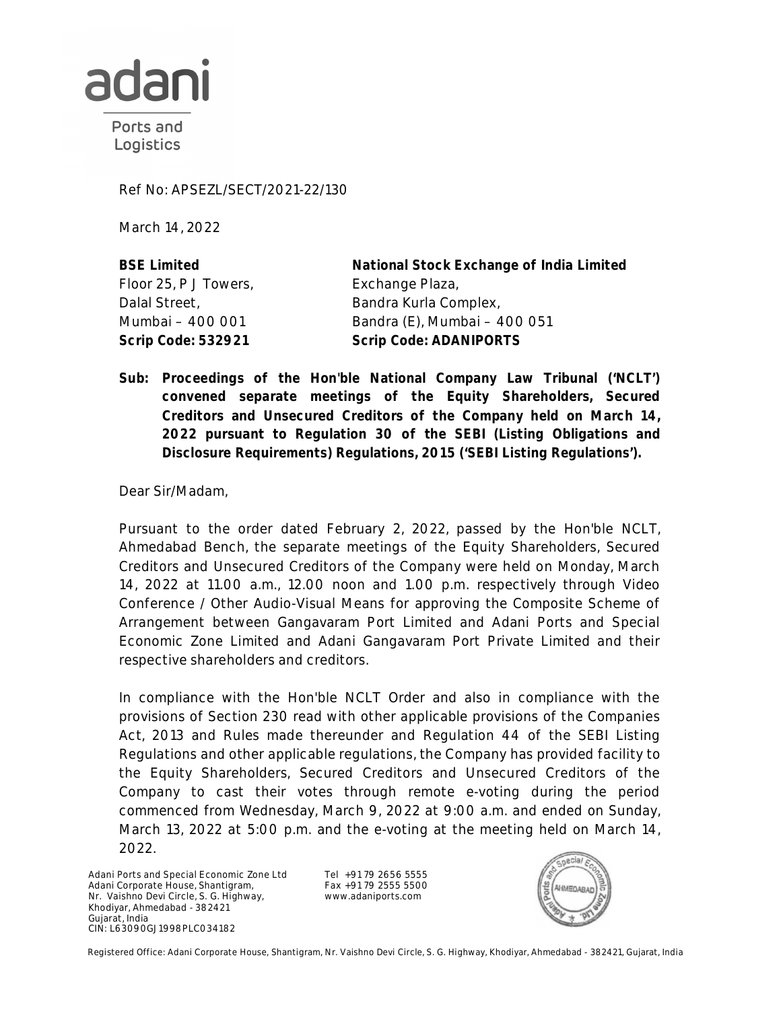

Ports and Logistics

Ref No: APSEZL/SECT/2021-22/130

March 14, 2022

**BSE Limited** Floor 25, P J Towers, Dalal Street, Mumbai – 400 001

**National Stock Exchange of India Limited** Exchange Plaza, Bandra Kurla Complex, Bandra (E), Mumbai – 400 051 **Scrip Code: 532921 Scrip Code: ADANIPORTS**

**Sub: Proceedings of the Hon'ble National Company Law Tribunal ('NCLT') convened separate meetings of the Equity Shareholders, Secured Creditors and Unsecured Creditors of the Company held on March 14, 2022 pursuant to Regulation 30 of the SEBI (Listing Obligations and Disclosure Requirements) Regulations, 2015 ('SEBI Listing Regulations').**

Dear Sir/Madam,

Pursuant to the order dated February 2, 2022, passed by the Hon'ble NCLT, Ahmedabad Bench, the separate meetings of the Equity Shareholders, Secured Creditors and Unsecured Creditors of the Company were held on Monday, March 14, 2022 at 11.00 a.m., 12.00 noon and 1.00 p.m. respectively through Video Conference / Other Audio-Visual Means for approving the Composite Scheme of Arrangement between Gangavaram Port Limited and Adani Ports and Special Economic Zone Limited and Adani Gangavaram Port Private Limited and their respective shareholders and creditors.

In compliance with the Hon'ble NCLT Order and also in compliance with the provisions of Section 230 read with other applicable provisions of the Companies Act, 2013 and Rules made thereunder and Regulation 44 of the SEBI Listing Regulations and other applicable regulations, the Company has provided facility to the Equity Shareholders, Secured Creditors and Unsecured Creditors of the Company to cast their votes through remote e-voting during the period commenced from Wednesday, March 9, 2022 at 9:00 a.m. and ended on Sunday, March 13, 2022 at 5:00 p.m. and the e-voting at the meeting held on March 14, 2022.

Adani Ports and Special Economic Zone Ltd Adani Corporate House, Shantigram, Nr. Vaishno Devi Circle, S. G. Highway, Khodiyar, Ahmedabad - 382421 Gujarat, India CIN: L63090GJ1998PLC034182

Tel +91 79 2656 5555 Fax +91 79 2555 5500 www.adaniports.com



Registered Office: Adani Corporate House, Shantigram, Nr. Vaishno Devi Circle, S. G. Highway, Khodiyar, Ahmedabad - 382421, Gujarat, India